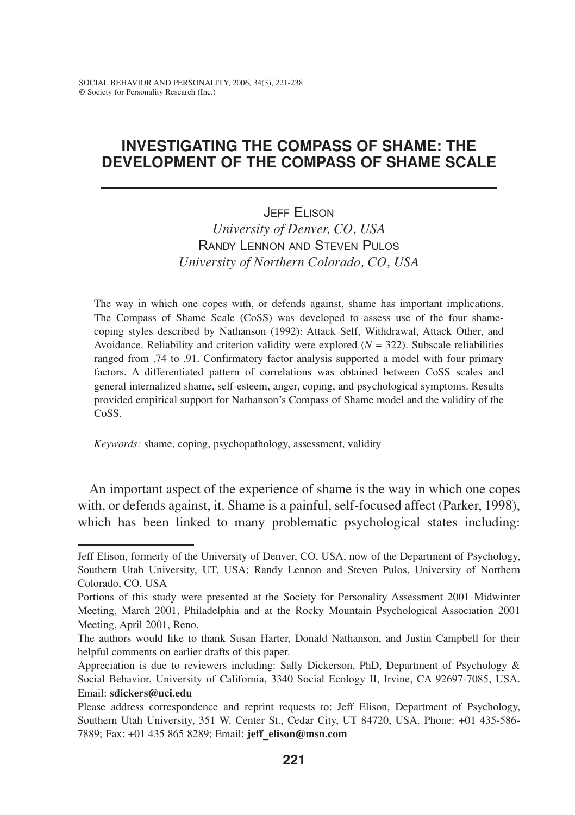# **INVESTIGATING THE COMPASS OF SHAME: THE DEVELOPMENT OF THE COMPASS OF SHAME SCALE**

**JEFF ELISON** *University of Denver, CO, USA* RANDY LENNON AND STEVEN PULOS *University of Northern Colorado, CO, USA*

The way in which one copes with, or defends against, shame has important implications. The Compass of Shame Scale (CoSS) was developed to assess use of the four shamecoping styles described by Nathanson (1992): Attack Self, Withdrawal, Attack Other, and Avoidance. Reliability and criterion validity were explored  $(N = 322)$ . Subscale reliabilities ranged from .74 to .91. Confirmatory factor analysis supported a model with four primary factors. A differentiated pattern of correlations was obtained between CoSS scales and general internalized shame, self-esteem, anger, coping, and psychological symptoms. Results provided empirical support for Nathanson's Compass of Shame model and the validity of the CoSS.

*Keywords:* shame, coping, psychopathology, assessment, validity

An important aspect of the experience of shame is the way in which one copes with, or defends against, it. Shame is a painful, self-focused affect (Parker, 1998), which has been linked to many problematic psychological states including:

Jeff Elison, formerly of the University of Denver, CO, USA, now of the Department of Psychology, Southern Utah University, UT, USA; Randy Lennon and Steven Pulos, University of Northern Colorado, CO, USA

Portions of this study were presented at the Society for Personality Assessment 2001 Midwinter Meeting, March 2001, Philadelphia and at the Rocky Mountain Psychological Association 2001 Meeting, April 2001, Reno.

The authors would like to thank Susan Harter, Donald Nathanson, and Justin Campbell for their helpful comments on earlier drafts of this paper.

Appreciation is due to reviewers including: Sally Dickerson, PhD, Department of Psychology & Social Behavior, University of California, 3340 Social Ecology II, Irvine, CA 92697-7085, USA. Email: **sdickers@uci.edu**

Please address correspondence and reprint requests to: Jeff Elison, Department of Psychology, Southern Utah University, 351 W. Center St., Cedar City, UT 84720, USA. Phone: +01 435-586- 7889; Fax: +01 435 865 8289; Email: **jeff\_elison@msn.com**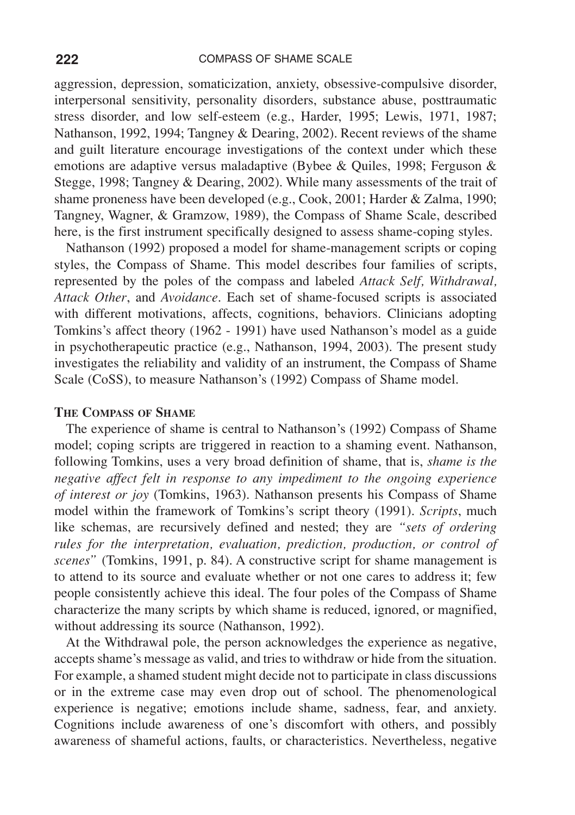#### **222** COMPASS OF SHAME SCALE

aggression, depression, somaticization, anxiety, obsessive-compulsive disorder, interpersonal sensitivity, personality disorders, substance abuse, posttraumatic stress disorder, and low self-esteem (e.g., Harder, 1995; Lewis, 1971, 1987; Nathanson, 1992, 1994; Tangney & Dearing, 2002). Recent reviews of the shame and guilt literature encourage investigations of the context under which these emotions are adaptive versus maladaptive (Bybee & Quiles, 1998; Ferguson & Stegge, 1998; Tangney & Dearing, 2002). While many assessments of the trait of shame proneness have been developed (e.g., Cook, 2001; Harder & Zalma, 1990; Tangney, Wagner, & Gramzow, 1989), the Compass of Shame Scale, described here, is the first instrument specifically designed to assess shame-coping styles.

Nathanson (1992) proposed a model for shame-management scripts or coping styles, the Compass of Shame. This model describes four families of scripts, represented by the poles of the compass and labeled *Attack Self, Withdrawal, Attack Other*, and *Avoidance*. Each set of shame-focused scripts is associated with different motivations, affects, cognitions, behaviors. Clinicians adopting Tomkins's affect theory (1962 - 1991) have used Nathanson's model as a guide in psychotherapeutic practice (e.g., Nathanson, 1994, 2003). The present study investigates the reliability and validity of an instrument, the Compass of Shame Scale (CoSS), to measure Nathanson's (1992) Compass of Shame model.

#### **THE COMPASS OF SHAME**

The experience of shame is central to Nathanson's (1992) Compass of Shame model; coping scripts are triggered in reaction to a shaming event. Nathanson, following Tomkins, uses a very broad definition of shame, that is, *shame is the negative affect felt in response to any impediment to the ongoing experience of interest or joy* (Tomkins, 1963). Nathanson presents his Compass of Shame model within the framework of Tomkins's script theory (1991). *Scripts*, much like schemas, are recursively defined and nested; they are *"sets of ordering rules for the interpretation, evaluation, prediction, production, or control of scenes"* (Tomkins, 1991, p. 84). A constructive script for shame management is to attend to its source and evaluate whether or not one cares to address it; few people consistently achieve this ideal. The four poles of the Compass of Shame characterize the many scripts by which shame is reduced, ignored, or magnified, without addressing its source (Nathanson, 1992).

At the Withdrawal pole, the person acknowledges the experience as negative, accepts shame's message as valid, and tries to withdraw or hide from the situation. For example, a shamed student might decide not to participate in class discussions or in the extreme case may even drop out of school. The phenomenological experience is negative; emotions include shame, sadness, fear, and anxiety. Cognitions include awareness of one's discomfort with others, and possibly awareness of shameful actions, faults, or characteristics. Nevertheless, negative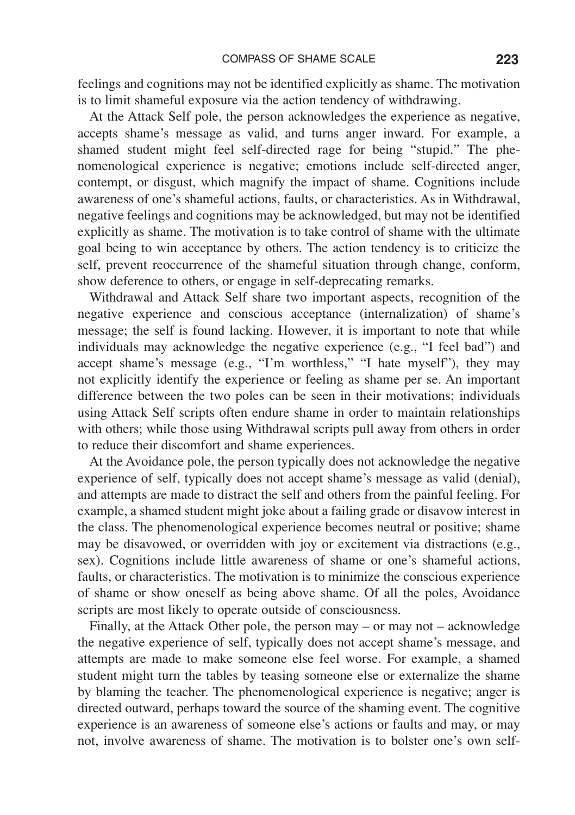feelings and cognitions may not be identified explicitly as shame. The motivation is to limit shameful exposure via the action tendency of withdrawing.

At the Attack Self pole, the person acknowledges the experience as negative, accepts shame's message as valid, and turns anger inward. For example, a shamed student might feel self-directed rage for being "stupid." The phenomenological experience is negative; emotions include self-directed anger, contempt, or disgust, which magnify the impact of shame. Cognitions include awareness of one's shameful actions, faults, or characteristics. As in Withdrawal, negative feelings and cognitions may be acknowledged, but may not be identified explicitly as shame. The motivation is to take control of shame with the ultimate goal being to win acceptance by others. The action tendency is to criticize the self, prevent reoccurrence of the shameful situation through change, conform, show deference to others, or engage in self-deprecating remarks.

Withdrawal and Attack Self share two important aspects, recognition of the negative experience and conscious acceptance (internalization) of shame's message; the self is found lacking. However, it is important to note that while individuals may acknowledge the negative experience (e.g., "I feel bad") and accept shame's message (e.g., "I'm worthless," "I hate myself"), they may not explicitly identify the experience or feeling as shame per se. An important difference between the two poles can be seen in their motivations; individuals using Attack Self scripts often endure shame in order to maintain relationships with others; while those using Withdrawal scripts pull away from others in order to reduce their discomfort and shame experiences.

At the Avoidance pole, the person typically does not acknowledge the negative experience of self, typically does not accept shame's message as valid (denial), and attempts are made to distract the self and others from the painful feeling. For example, a shamed student might joke about a failing grade or disavow interest in the class. The phenomenological experience becomes neutral or positive; shame may be disavowed, or overridden with joy or excitement via distractions (e.g., sex). Cognitions include little awareness of shame or one's shameful actions, faults, or characteristics. The motivation is to minimize the conscious experience of shame or show oneself as being above shame. Of all the poles, Avoidance scripts are most likely to operate outside of consciousness.

Finally, at the Attack Other pole, the person may – or may not – acknowledge the negative experience of self, typically does not accept shame's message, and attempts are made to make someone else feel worse. For example, a shamed student might turn the tables by teasing someone else or externalize the shame by blaming the teacher. The phenomenological experience is negative; anger is directed outward, perhaps toward the source of the shaming event. The cognitive experience is an awareness of someone else's actions or faults and may, or may not, involve awareness of shame. The motivation is to bolster one's own self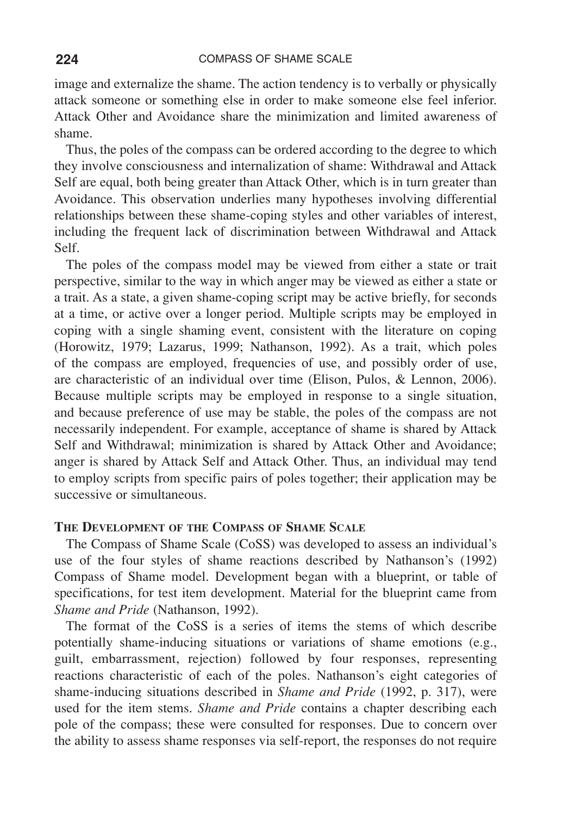image and externalize the shame. The action tendency is to verbally or physically attack someone or something else in order to make someone else feel inferior. Attack Other and Avoidance share the minimization and limited awareness of shame.

Thus, the poles of the compass can be ordered according to the degree to which they involve consciousness and internalization of shame: Withdrawal and Attack Self are equal, both being greater than Attack Other, which is in turn greater than Avoidance. This observation underlies many hypotheses involving differential relationships between these shame-coping styles and other variables of interest, including the frequent lack of discrimination between Withdrawal and Attack Self.

The poles of the compass model may be viewed from either a state or trait perspective, similar to the way in which anger may be viewed as either a state or a trait. As a state, a given shame-coping script may be active briefly, for seconds at a time, or active over a longer period. Multiple scripts may be employed in coping with a single shaming event, consistent with the literature on coping (Horowitz, 1979; Lazarus, 1999; Nathanson, 1992). As a trait, which poles of the compass are employed, frequencies of use, and possibly order of use, are characteristic of an individual over time (Elison, Pulos, & Lennon, 2006). Because multiple scripts may be employed in response to a single situation, and because preference of use may be stable, the poles of the compass are not necessarily independent. For example, acceptance of shame is shared by Attack Self and Withdrawal; minimization is shared by Attack Other and Avoidance; anger is shared by Attack Self and Attack Other. Thus, an individual may tend to employ scripts from specific pairs of poles together; their application may be successive or simultaneous.

#### **THE DEVELOPMENT OF THE COMPASS OF SHAME SCALE**

The Compass of Shame Scale (CoSS) was developed to assess an individual's use of the four styles of shame reactions described by Nathanson's (1992) Compass of Shame model. Development began with a blueprint, or table of specifications, for test item development. Material for the blueprint came from *Shame and Pride* (Nathanson, 1992).

The format of the CoSS is a series of items the stems of which describe potentially shame-inducing situations or variations of shame emotions (e.g., guilt, embarrassment, rejection) followed by four responses, representing reactions characteristic of each of the poles. Nathanson's eight categories of shame-inducing situations described in *Shame and Pride* (1992, p. 317), were used for the item stems. *Shame and Pride* contains a chapter describing each pole of the compass; these were consulted for responses. Due to concern over the ability to assess shame responses via self-report, the responses do not require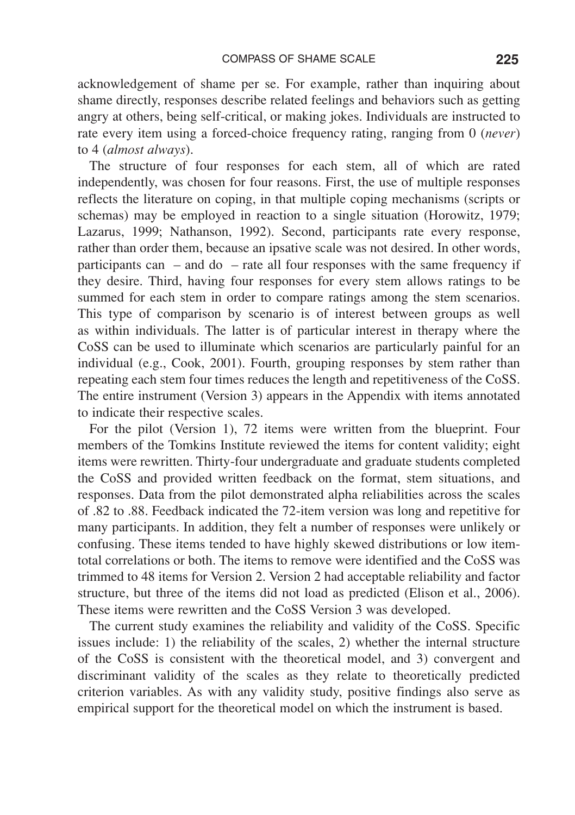acknowledgement of shame per se. For example, rather than inquiring about shame directly, responses describe related feelings and behaviors such as getting angry at others, being self-critical, or making jokes. Individuals are instructed to rate every item using a forced-choice frequency rating, ranging from 0 (*never*) to 4 (*almost always*).

The structure of four responses for each stem, all of which are rated independently, was chosen for four reasons. First, the use of multiple responses reflects the literature on coping, in that multiple coping mechanisms (scripts or schemas) may be employed in reaction to a single situation (Horowitz, 1979; Lazarus, 1999; Nathanson, 1992). Second, participants rate every response, rather than order them, because an ipsative scale was not desired. In other words, participants can – and do – rate all four responses with the same frequency if they desire. Third, having four responses for every stem allows ratings to be summed for each stem in order to compare ratings among the stem scenarios. This type of comparison by scenario is of interest between groups as well as within individuals. The latter is of particular interest in therapy where the CoSS can be used to illuminate which scenarios are particularly painful for an individual (e.g., Cook, 2001). Fourth, grouping responses by stem rather than repeating each stem four times reduces the length and repetitiveness of the CoSS. The entire instrument (Version 3) appears in the Appendix with items annotated to indicate their respective scales.

For the pilot (Version 1), 72 items were written from the blueprint. Four members of the Tomkins Institute reviewed the items for content validity; eight items were rewritten. Thirty-four undergraduate and graduate students completed the CoSS and provided written feedback on the format, stem situations, and responses. Data from the pilot demonstrated alpha reliabilities across the scales of .82 to .88. Feedback indicated the 72-item version was long and repetitive for many participants. In addition, they felt a number of responses were unlikely or confusing. These items tended to have highly skewed distributions or low itemtotal correlations or both. The items to remove were identified and the CoSS was trimmed to 48 items for Version 2. Version 2 had acceptable reliability and factor structure, but three of the items did not load as predicted (Elison et al., 2006). These items were rewritten and the CoSS Version 3 was developed.

The current study examines the reliability and validity of the CoSS. Specific issues include: 1) the reliability of the scales, 2) whether the internal structure of the CoSS is consistent with the theoretical model, and 3) convergent and discriminant validity of the scales as they relate to theoretically predicted criterion variables. As with any validity study, positive findings also serve as empirical support for the theoretical model on which the instrument is based.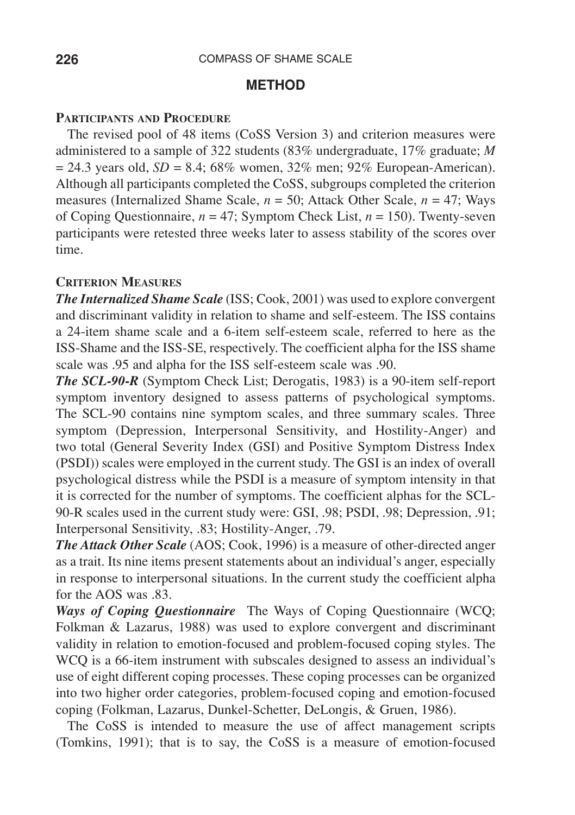#### **METHOD**

### **PARTICIPANTS AND PROCEDURE**

The revised pool of 48 items (CoSS Version 3) and criterion measures were administered to a sample of 322 students (83% undergraduate, 17% graduate; *M*  $= 24.3$  years old,  $SD = 8.4$ ; 68% women, 32% men; 92% European-American). Although all participants completed the CoSS, subgroups completed the criterion measures (Internalized Shame Scale,  $n = 50$ ; Attack Other Scale,  $n = 47$ ; Ways of Coping Questionnaire, *n* = 47; Symptom Check List, *n* = 150). Twenty-seven participants were retested three weeks later to assess stability of the scores over time.

#### **CRITERION MEASURES**

*The Internalized Shame Scale* (ISS; Cook, 2001) was used to explore convergent and discriminant validity in relation to shame and self-esteem. The ISS contains a 24-item shame scale and a 6-item self-esteem scale, referred to here as the ISS-Shame and the ISS-SE, respectively. The coefficient alpha for the ISS shame scale was .95 and alpha for the ISS self-esteem scale was .90.

*The SCL-90-R* (Symptom Check List; Derogatis, 1983) is a 90-item self-report symptom inventory designed to assess patterns of psychological symptoms. The SCL-90 contains nine symptom scales, and three summary scales. Three symptom (Depression, Interpersonal Sensitivity, and Hostility-Anger) and two total (General Severity Index (GSI) and Positive Symptom Distress Index (PSDI)) scales were employed in the current study. The GSI is an index of overall psychological distress while the PSDI is a measure of symptom intensity in that it is corrected for the number of symptoms. The coefficient alphas for the SCL-90-R scales used in the current study were: GSI, .98; PSDI, .98; Depression, .91; Interpersonal Sensitivity, .83; Hostility-Anger, .79.

**The Attack Other Scale** (AOS; Cook, 1996) is a measure of other-directed anger as a trait. Its nine items present statements about an individual's anger, especially in response to interpersonal situations. In the current study the coefficient alpha for the AOS was .83.

*Ways of Coping Questionnaire* The Ways of Coping Questionnaire (WCQ; Folkman & Lazarus, 1988) was used to explore convergent and discriminant validity in relation to emotion-focused and problem-focused coping styles. The WCQ is a 66-item instrument with subscales designed to assess an individual's use of eight different coping processes. These coping processes can be organized into two higher order categories, problem-focused coping and emotion-focused coping (Folkman, Lazarus, Dunkel-Schetter, DeLongis, & Gruen, 1986).

The CoSS is intended to measure the use of affect management scripts (Tomkins, 1991); that is to say, the CoSS is a measure of emotion-focused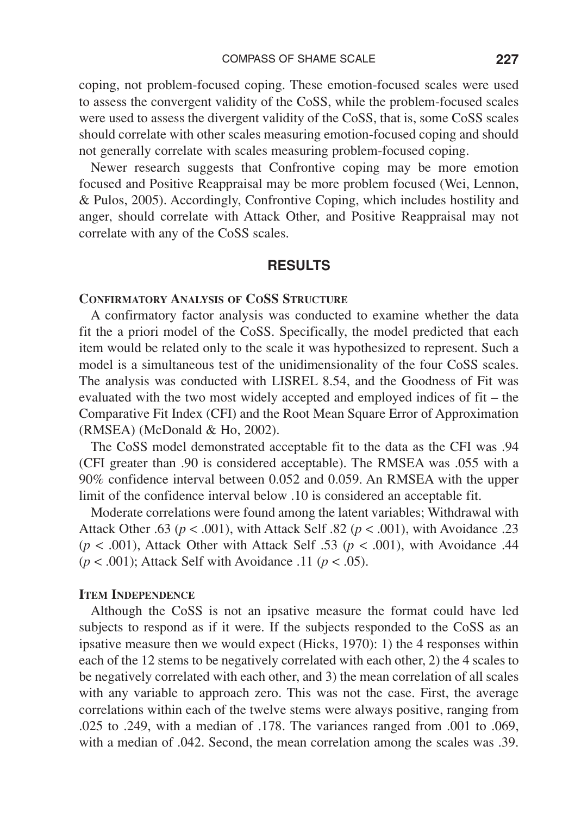coping, not problem-focused coping. These emotion-focused scales were used to assess the convergent validity of the CoSS, while the problem-focused scales were used to assess the divergent validity of the CoSS, that is, some CoSS scales should correlate with other scales measuring emotion-focused coping and should not generally correlate with scales measuring problem-focused coping.

Newer research suggests that Confrontive coping may be more emotion focused and Positive Reappraisal may be more problem focused (Wei, Lennon, & Pulos, 2005). Accordingly, Confrontive Coping, which includes hostility and anger, should correlate with Attack Other, and Positive Reappraisal may not correlate with any of the CoSS scales.

#### **RESULTS**

#### **CONFIRMATORY ANALYSIS OF COSS STRUCTURE**

A confirmatory factor analysis was conducted to examine whether the data fit the a priori model of the CoSS. Specifically, the model predicted that each item would be related only to the scale it was hypothesized to represent. Such a model is a simultaneous test of the unidimensionality of the four CoSS scales. The analysis was conducted with LISREL 8.54, and the Goodness of Fit was evaluated with the two most widely accepted and employed indices of fit – the Comparative Fit Index (CFI) and the Root Mean Square Error of Approximation (RMSEA) (McDonald & Ho, 2002).

The CoSS model demonstrated acceptable fit to the data as the CFI was .94 (CFI greater than .90 is considered acceptable). The RMSEA was .055 with a 90% confidence interval between 0.052 and 0.059. An RMSEA with the upper limit of the confidence interval below .10 is considered an acceptable fit.

Moderate correlations were found among the latent variables; Withdrawal with Attack Other .63 (*p* < .001), with Attack Self .82 (*p* < .001), with Avoidance .23  $(p < .001)$ , Attack Other with Attack Self .53 ( $p < .001$ ), with Avoidance .44 (*p* < .001); Attack Self with Avoidance .11 (*p* < .05).

#### **ITEM INDEPENDENCE**

Although the CoSS is not an ipsative measure the format could have led subjects to respond as if it were. If the subjects responded to the CoSS as an ipsative measure then we would expect (Hicks, 1970): 1) the 4 responses within each of the 12 stems to be negatively correlated with each other, 2) the 4 scales to be negatively correlated with each other, and 3) the mean correlation of all scales with any variable to approach zero. This was not the case. First, the average correlations within each of the twelve stems were always positive, ranging from .025 to .249, with a median of .178. The variances ranged from .001 to .069, with a median of .042. Second, the mean correlation among the scales was .39.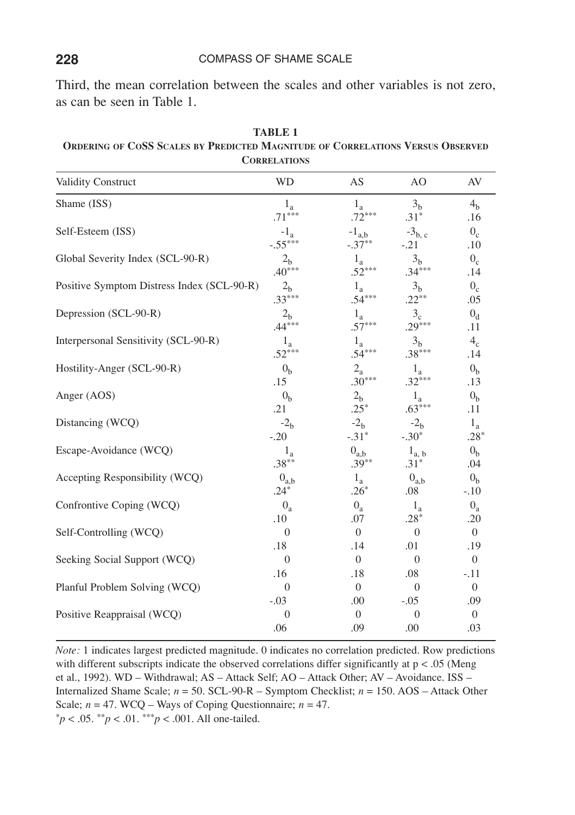Third, the mean correlation between the scales and other variables is not zero, as can be seen in Table 1.

| <b>CORRELATIONS</b>                        |                |                     |                |                |  |  |
|--------------------------------------------|----------------|---------------------|----------------|----------------|--|--|
| Validity Construct                         | <b>WD</b>      | AS                  | AO             | AV             |  |  |
| Shame (ISS)                                | $1_{\rm a}$    | $1_{a}$             | 3 <sub>h</sub> | 4 <sub>h</sub> |  |  |
|                                            | $.71***$       | $.72***$            | $.31*$         | .16            |  |  |
| Self-Esteem (ISS)                          | $-1_a$         | $-1$ <sub>a,b</sub> | $-3b, c$       | 0 <sub>c</sub> |  |  |
|                                            | $-.55***$      | $-.37***$           | $-.21$         | .10            |  |  |
| Global Severity Index (SCL-90-R)           | 2 <sub>h</sub> | $1_{a}$             | 3 <sub>h</sub> | 0 <sub>c</sub> |  |  |
|                                            | $.40***$       | $.52***$            | $.34***$       | .14            |  |  |
| Positive Symptom Distress Index (SCL-90-R) | 2 <sub>b</sub> | $1_a$               | 3 <sub>b</sub> | 0 <sub>c</sub> |  |  |
|                                            | $.33***$       | $.54***$            | $22**$         | .05            |  |  |
| Depression (SCL-90-R)                      | $2_{\rm b}$    | $1_{\rm a}$         | 3 <sub>c</sub> | $0_d$          |  |  |
|                                            | $.44***$       | $.57***$            | $.29***$       | .11            |  |  |
| Interpersonal Sensitivity (SCL-90-R)       | $1_{\rm a}$    | $1_{a}$             | 3 <sub>h</sub> | 4 <sub>c</sub> |  |  |
|                                            | $.52***$       | $.54***$            | $.38***$       | .14            |  |  |
| Hostility-Anger (SCL-90-R)                 | 0 <sub>h</sub> | $2_a$               | $1_{a}$        | 0 <sub>b</sub> |  |  |
|                                            | .15            | $.30***$            | $.32***$       | .13            |  |  |
| Anger (AOS)                                | 0 <sub>h</sub> | 2 <sub>b</sub>      | $1_a$          | 0 <sub>b</sub> |  |  |
|                                            | .21            | $.25*$              | $.63***$       | .11            |  |  |
| Distancing (WCQ)                           | $-2b$          | $-2b$               | $-2b$          | $1_{a}$        |  |  |
|                                            | $-.20$         | $-.31*$             | $-.30*$        | $.28*$         |  |  |
| Escape-Avoidance (WCQ)                     | $1_{\rm a}$    | $0_{a,b}$           | $1_{a,b}$      | 0 <sub>b</sub> |  |  |
|                                            | $.38***$       | $.39***$            | $.31*$         | .04            |  |  |
| Accepting Responsibility (WCQ)             | $0_{a,b}$      | $1_{a}$             | $0_{a,b}$      | 0 <sub>b</sub> |  |  |
|                                            | $.24*$         | $.26*$              | .08            | $-.10$         |  |  |
| Confrontive Coping (WCQ)                   | $0_a$          | $0_a$               | $1_{\rm a}$    | $0_a$          |  |  |
|                                            | .10            | .07                 | $.28*$         | .20            |  |  |
| Self-Controlling (WCQ)                     | $\theta$       | $\theta$            | $\theta$       | $\theta$       |  |  |
|                                            | .18            | .14                 | .01            | .19            |  |  |
| Seeking Social Support (WCQ)               | $\Omega$       | $\overline{0}$      | $\overline{0}$ | $\overline{0}$ |  |  |
|                                            | .16            | .18                 | .08            | $-.11$         |  |  |
| Planful Problem Solving (WCQ)              | $\mathbf{0}$   | $\overline{0}$      | $\theta$       | $\mathbf{0}$   |  |  |
|                                            | $-.03$         | .00                 | $-.05$         | .09            |  |  |
| Positive Reappraisal (WCQ)                 | $\overline{0}$ | $\overline{0}$      | $\overline{0}$ | $\overline{0}$ |  |  |
|                                            | .06            | .09                 | .00            | .03            |  |  |

**TABLE 1 ORDERING OF COSS SCALES BY PREDICTED MAGNITUDE OF CORRELATIONS VERSUS OBSERVED**

*Note:* 1 indicates largest predicted magnitude. 0 indicates no correlation predicted. Row predictions with different subscripts indicate the observed correlations differ significantly at  $p < .05$  (Meng et al., 1992). WD – Withdrawal; AS – Attack Self; AO – Attack Other; AV – Avoidance. ISS – Internalized Shame Scale; *n* = 50. SCL-90-R – Symptom Checklist; *n* = 150. AOS – Attack Other Scale; *n* = 47. WCQ – Ways of Coping Questionnaire; *n* = 47.  $*_{p}$  < .05. \*\**p* < .01. \*\**p* < .001. All one-tailed.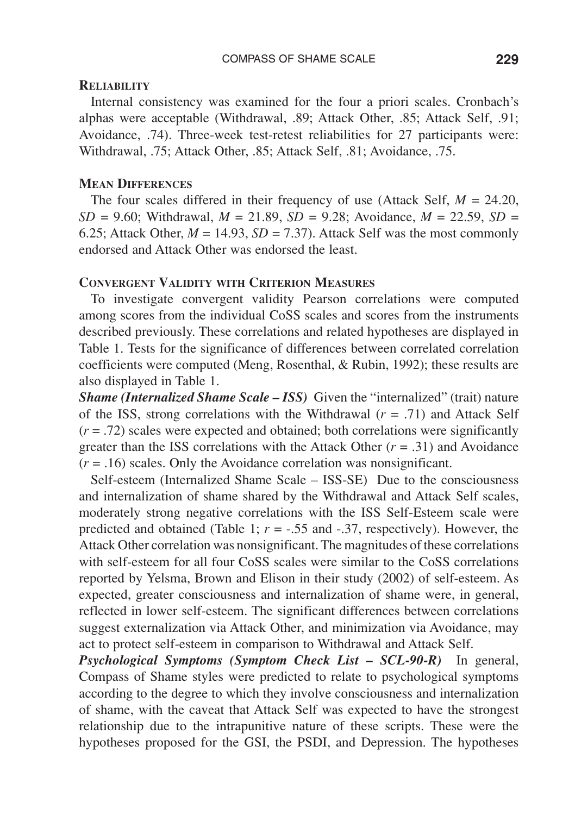#### **RELIABILITY**

Internal consistency was examined for the four a priori scales. Cronbach's alphas were acceptable (Withdrawal, .89; Attack Other, .85; Attack Self, .91; Avoidance, .74). Three-week test-retest reliabilities for 27 participants were: Withdrawal, .75; Attack Other, .85; Attack Self, .81; Avoidance, .75.

## **MEAN DIFFERENCES**

The four scales differed in their frequency of use (Attack Self, *M* = 24.20,  $SD = 9.60$ ; Withdrawal,  $M = 21.89$ ,  $SD = 9.28$ ; Avoidance,  $M = 22.59$ ,  $SD =$ 6.25; Attack Other,  $M = 14.93$ ,  $SD = 7.37$ ). Attack Self was the most commonly endorsed and Attack Other was endorsed the least.

#### **CONVERGENT VALIDITY WITH CRITERION MEASURES**

To investigate convergent validity Pearson correlations were computed among scores from the individual CoSS scales and scores from the instruments described previously. These correlations and related hypotheses are displayed in Table 1. Tests for the significance of differences between correlated correlation coefficients were computed (Meng, Rosenthal, & Rubin, 1992); these results are also displayed in Table 1.

*Shame (Internalized Shame Scale – ISS)* Given the "internalized" (trait) nature of the ISS, strong correlations with the Withdrawal  $(r = .71)$  and Attack Self  $(r = .72)$  scales were expected and obtained; both correlations were significantly greater than the ISS correlations with the Attack Other  $(r = .31)$  and Avoidance  $(r = .16)$  scales. Only the Avoidance correlation was nonsignificant.

Self-esteem (Internalized Shame Scale – ISS-SE) Due to the consciousness and internalization of shame shared by the Withdrawal and Attack Self scales, moderately strong negative correlations with the ISS Self-Esteem scale were predicted and obtained (Table 1; *r* = -.55 and -.37, respectively). However, the Attack Other correlation was nonsignificant. The magnitudes of these correlations with self-esteem for all four CoSS scales were similar to the CoSS correlations reported by Yelsma, Brown and Elison in their study (2002) of self-esteem. As expected, greater consciousness and internalization of shame were, in general, reflected in lower self-esteem. The significant differences between correlations suggest externalization via Attack Other, and minimization via Avoidance, may act to protect self-esteem in comparison to Withdrawal and Attack Self.

*Psychological Symptoms (Symptom Check List – SCL-90-R)* In general, Compass of Shame styles were predicted to relate to psychological symptoms according to the degree to which they involve consciousness and internalization of shame, with the caveat that Attack Self was expected to have the strongest relationship due to the intrapunitive nature of these scripts. These were the hypotheses proposed for the GSI, the PSDI, and Depression. The hypotheses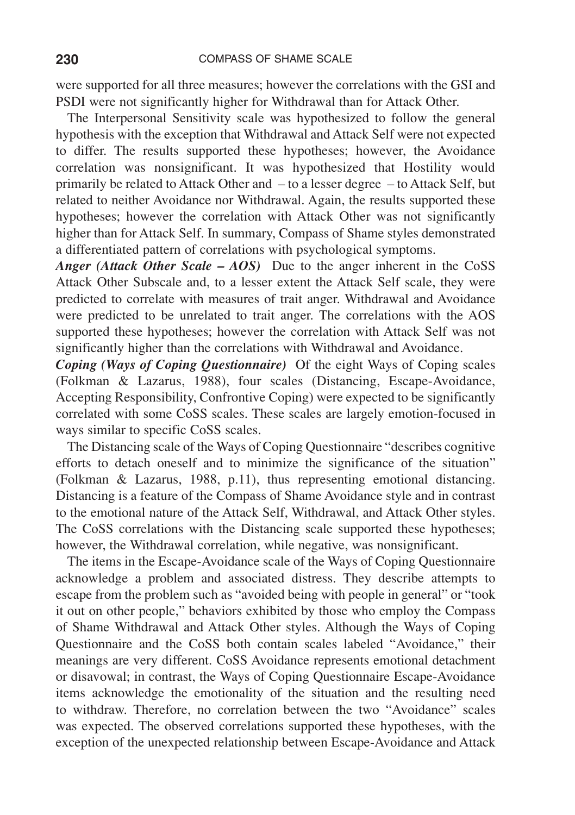were supported for all three measures; however the correlations with the GSI and PSDI were not significantly higher for Withdrawal than for Attack Other.

The Interpersonal Sensitivity scale was hypothesized to follow the general hypothesis with the exception that Withdrawal and Attack Self were not expected to differ. The results supported these hypotheses; however, the Avoidance correlation was nonsignificant. It was hypothesized that Hostility would primarily be related to Attack Other and – to a lesser degree – to Attack Self, but related to neither Avoidance nor Withdrawal. Again, the results supported these hypotheses; however the correlation with Attack Other was not significantly higher than for Attack Self. In summary, Compass of Shame styles demonstrated a differentiated pattern of correlations with psychological symptoms.

*Anger (Attack Other Scale – AOS)* Due to the anger inherent in the CoSS Attack Other Subscale and, to a lesser extent the Attack Self scale, they were predicted to correlate with measures of trait anger. Withdrawal and Avoidance were predicted to be unrelated to trait anger. The correlations with the AOS supported these hypotheses; however the correlation with Attack Self was not significantly higher than the correlations with Withdrawal and Avoidance.

*Coping (Ways of Coping Questionnaire)* Of the eight Ways of Coping scales (Folkman & Lazarus, 1988), four scales (Distancing, Escape-Avoidance, Accepting Responsibility, Confrontive Coping) were expected to be significantly correlated with some CoSS scales. These scales are largely emotion-focused in ways similar to specific CoSS scales.

The Distancing scale of the Ways of Coping Questionnaire "describes cognitive efforts to detach oneself and to minimize the significance of the situation" (Folkman & Lazarus, 1988, p.11), thus representing emotional distancing. Distancing is a feature of the Compass of Shame Avoidance style and in contrast to the emotional nature of the Attack Self, Withdrawal, and Attack Other styles. The CoSS correlations with the Distancing scale supported these hypotheses; however, the Withdrawal correlation, while negative, was nonsignificant.

The items in the Escape-Avoidance scale of the Ways of Coping Questionnaire acknowledge a problem and associated distress. They describe attempts to escape from the problem such as "avoided being with people in general" or "took it out on other people," behaviors exhibited by those who employ the Compass of Shame Withdrawal and Attack Other styles. Although the Ways of Coping Questionnaire and the CoSS both contain scales labeled "Avoidance," their meanings are very different. CoSS Avoidance represents emotional detachment or disavowal; in contrast, the Ways of Coping Questionnaire Escape-Avoidance items acknowledge the emotionality of the situation and the resulting need to withdraw. Therefore, no correlation between the two "Avoidance" scales was expected. The observed correlations supported these hypotheses, with the exception of the unexpected relationship between Escape-Avoidance and Attack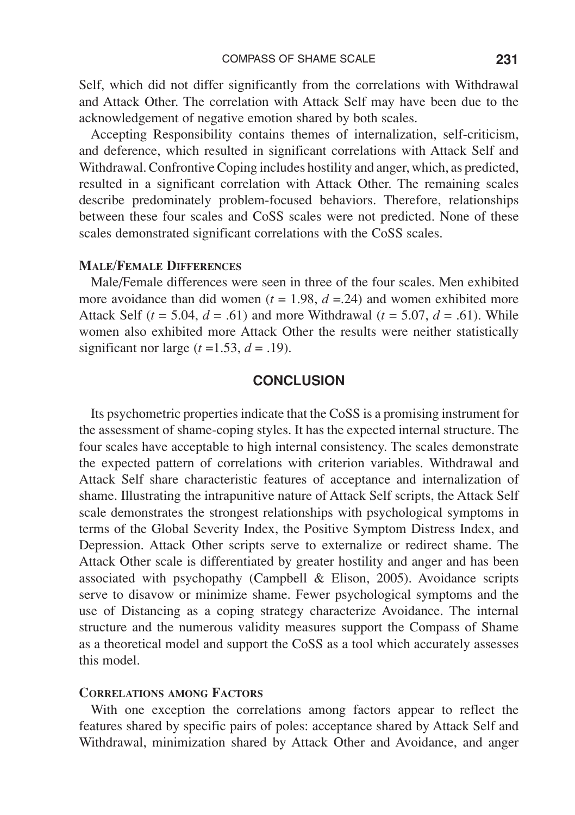Self, which did not differ significantly from the correlations with Withdrawal and Attack Other. The correlation with Attack Self may have been due to the acknowledgement of negative emotion shared by both scales.

Accepting Responsibility contains themes of internalization, self-criticism, and deference, which resulted in significant correlations with Attack Self and Withdrawal. Confrontive Coping includes hostility and anger, which, as predicted, resulted in a significant correlation with Attack Other. The remaining scales describe predominately problem-focused behaviors. Therefore, relationships between these four scales and CoSS scales were not predicted. None of these scales demonstrated significant correlations with the CoSS scales.

#### **MALE/FEMALE DIFFERENCES**

Male/Female differences were seen in three of the four scales. Men exhibited more avoidance than did women ( $t = 1.98$ ,  $d = 24$ ) and women exhibited more Attack Self  $(t = 5.04, d = .61)$  and more Withdrawal  $(t = 5.07, d = .61)$ . While women also exhibited more Attack Other the results were neither statistically significant nor large  $(t=1.53, d=.19)$ .

# **CONCLUSION**

Its psychometric properties indicate that the CoSS is a promising instrument for the assessment of shame-coping styles. It has the expected internal structure. The four scales have acceptable to high internal consistency. The scales demonstrate the expected pattern of correlations with criterion variables. Withdrawal and Attack Self share characteristic features of acceptance and internalization of shame. Illustrating the intrapunitive nature of Attack Self scripts, the Attack Self scale demonstrates the strongest relationships with psychological symptoms in terms of the Global Severity Index, the Positive Symptom Distress Index, and Depression. Attack Other scripts serve to externalize or redirect shame. The Attack Other scale is differentiated by greater hostility and anger and has been associated with psychopathy (Campbell & Elison, 2005). Avoidance scripts serve to disavow or minimize shame. Fewer psychological symptoms and the use of Distancing as a coping strategy characterize Avoidance. The internal structure and the numerous validity measures support the Compass of Shame as a theoretical model and support the CoSS as a tool which accurately assesses this model.

# **CORRELATIONS AMONG FACTORS**

With one exception the correlations among factors appear to reflect the features shared by specific pairs of poles: acceptance shared by Attack Self and Withdrawal, minimization shared by Attack Other and Avoidance, and anger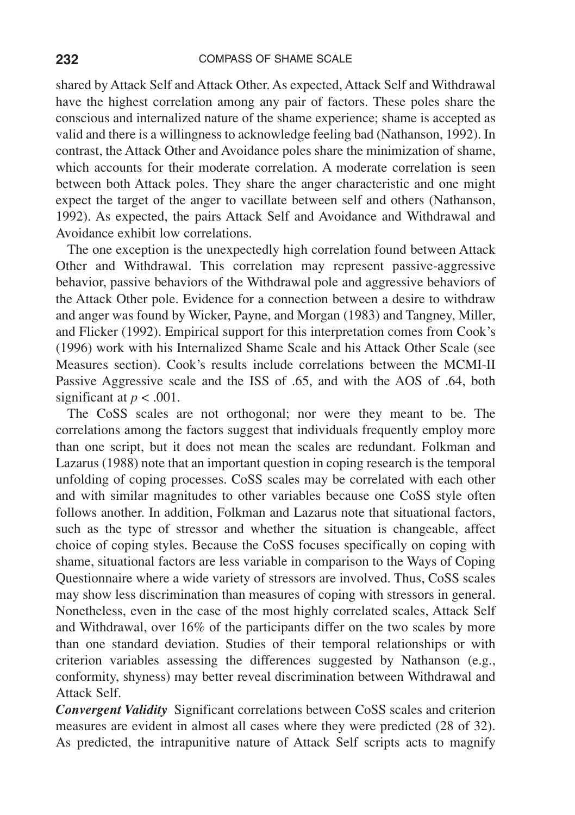shared by Attack Self and Attack Other. As expected, Attack Self and Withdrawal have the highest correlation among any pair of factors. These poles share the conscious and internalized nature of the shame experience; shame is accepted as valid and there is a willingness to acknowledge feeling bad (Nathanson, 1992). In contrast, the Attack Other and Avoidance poles share the minimization of shame, which accounts for their moderate correlation. A moderate correlation is seen between both Attack poles. They share the anger characteristic and one might expect the target of the anger to vacillate between self and others (Nathanson, 1992). As expected, the pairs Attack Self and Avoidance and Withdrawal and Avoidance exhibit low correlations.

The one exception is the unexpectedly high correlation found between Attack Other and Withdrawal. This correlation may represent passive-aggressive behavior, passive behaviors of the Withdrawal pole and aggressive behaviors of the Attack Other pole. Evidence for a connection between a desire to withdraw and anger was found by Wicker, Payne, and Morgan (1983) and Tangney, Miller, and Flicker (1992). Empirical support for this interpretation comes from Cook's (1996) work with his Internalized Shame Scale and his Attack Other Scale (see Measures section). Cook's results include correlations between the MCMI-II Passive Aggressive scale and the ISS of .65, and with the AOS of .64, both significant at  $p < .001$ .

The CoSS scales are not orthogonal; nor were they meant to be. The correlations among the factors suggest that individuals frequently employ more than one script, but it does not mean the scales are redundant. Folkman and Lazarus (1988) note that an important question in coping research is the temporal unfolding of coping processes. CoSS scales may be correlated with each other and with similar magnitudes to other variables because one CoSS style often follows another. In addition, Folkman and Lazarus note that situational factors, such as the type of stressor and whether the situation is changeable, affect choice of coping styles. Because the CoSS focuses specifically on coping with shame, situational factors are less variable in comparison to the Ways of Coping Questionnaire where a wide variety of stressors are involved. Thus, CoSS scales may show less discrimination than measures of coping with stressors in general. Nonetheless, even in the case of the most highly correlated scales, Attack Self and Withdrawal, over 16% of the participants differ on the two scales by more than one standard deviation. Studies of their temporal relationships or with criterion variables assessing the differences suggested by Nathanson (e.g., conformity, shyness) may better reveal discrimination between Withdrawal and Attack Self.

*Convergent Validity* Significant correlations between CoSS scales and criterion measures are evident in almost all cases where they were predicted (28 of 32). As predicted, the intrapunitive nature of Attack Self scripts acts to magnify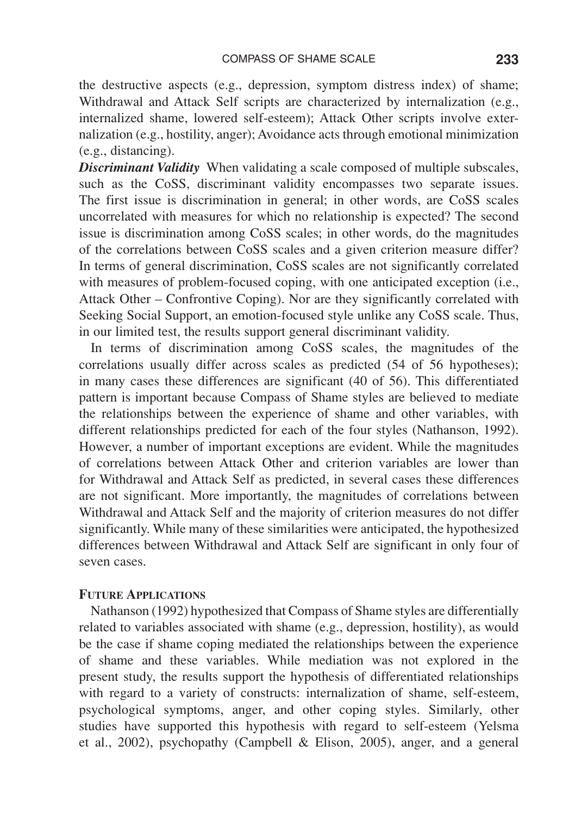the destructive aspects (e.g., depression, symptom distress index) of shame; Withdrawal and Attack Self scripts are characterized by internalization (e.g., internalized shame, lowered self-esteem); Attack Other scripts involve externalization (e.g., hostility, anger); Avoidance acts through emotional minimization (e.g., distancing).

*Discriminant Validity* When validating a scale composed of multiple subscales, such as the CoSS, discriminant validity encompasses two separate issues. The first issue is discrimination in general; in other words, are CoSS scales uncorrelated with measures for which no relationship is expected? The second issue is discrimination among CoSS scales; in other words, do the magnitudes of the correlations between CoSS scales and a given criterion measure differ? In terms of general discrimination, CoSS scales are not significantly correlated with measures of problem-focused coping, with one anticipated exception (i.e., Attack Other – Confrontive Coping). Nor are they significantly correlated with Seeking Social Support, an emotion-focused style unlike any CoSS scale. Thus, in our limited test, the results support general discriminant validity.

In terms of discrimination among CoSS scales, the magnitudes of the correlations usually differ across scales as predicted (54 of 56 hypotheses); in many cases these differences are significant (40 of 56). This differentiated pattern is important because Compass of Shame styles are believed to mediate the relationships between the experience of shame and other variables, with different relationships predicted for each of the four styles (Nathanson, 1992). However, a number of important exceptions are evident. While the magnitudes of correlations between Attack Other and criterion variables are lower than for Withdrawal and Attack Self as predicted, in several cases these differences are not significant. More importantly, the magnitudes of correlations between Withdrawal and Attack Self and the majority of criterion measures do not differ significantly. While many of these similarities were anticipated, the hypothesized differences between Withdrawal and Attack Self are significant in only four of seven cases.

## **FUTURE APPLICATIONS**

Nathanson (1992) hypothesized that Compass of Shame styles are differentially related to variables associated with shame (e.g., depression, hostility), as would be the case if shame coping mediated the relationships between the experience of shame and these variables. While mediation was not explored in the present study, the results support the hypothesis of differentiated relationships with regard to a variety of constructs: internalization of shame, self-esteem, psychological symptoms, anger, and other coping styles. Similarly, other studies have supported this hypothesis with regard to self-esteem (Yelsma et al., 2002), psychopathy (Campbell & Elison, 2005), anger, and a general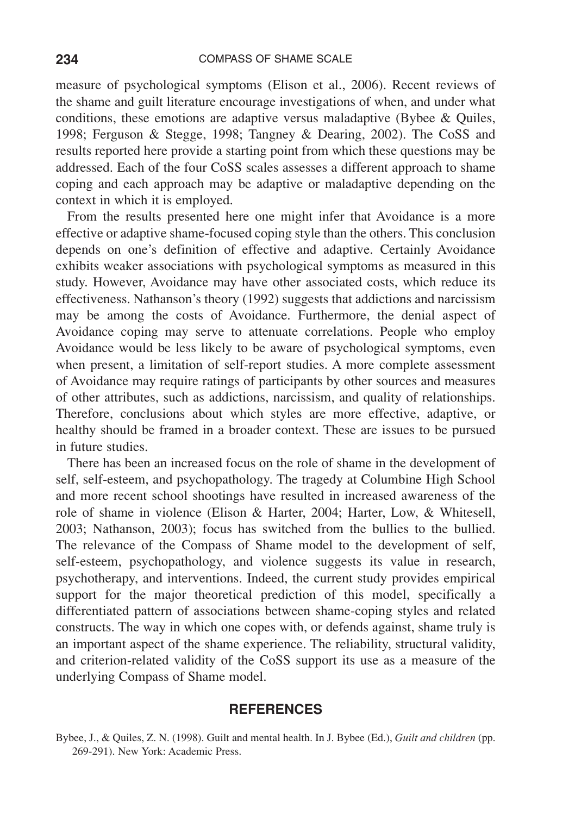measure of psychological symptoms (Elison et al., 2006). Recent reviews of the shame and guilt literature encourage investigations of when, and under what conditions, these emotions are adaptive versus maladaptive (Bybee & Quiles, 1998; Ferguson & Stegge, 1998; Tangney & Dearing, 2002). The CoSS and results reported here provide a starting point from which these questions may be addressed. Each of the four CoSS scales assesses a different approach to shame coping and each approach may be adaptive or maladaptive depending on the context in which it is employed.

From the results presented here one might infer that Avoidance is a more effective or adaptive shame-focused coping style than the others. This conclusion depends on one's definition of effective and adaptive. Certainly Avoidance exhibits weaker associations with psychological symptoms as measured in this study. However, Avoidance may have other associated costs, which reduce its effectiveness. Nathanson's theory (1992) suggests that addictions and narcissism may be among the costs of Avoidance. Furthermore, the denial aspect of Avoidance coping may serve to attenuate correlations. People who employ Avoidance would be less likely to be aware of psychological symptoms, even when present, a limitation of self-report studies. A more complete assessment of Avoidance may require ratings of participants by other sources and measures of other attributes, such as addictions, narcissism, and quality of relationships. Therefore, conclusions about which styles are more effective, adaptive, or healthy should be framed in a broader context. These are issues to be pursued in future studies.

There has been an increased focus on the role of shame in the development of self, self-esteem, and psychopathology. The tragedy at Columbine High School and more recent school shootings have resulted in increased awareness of the role of shame in violence (Elison & Harter, 2004; Harter, Low, & Whitesell, 2003; Nathanson, 2003); focus has switched from the bullies to the bullied. The relevance of the Compass of Shame model to the development of self, self-esteem, psychopathology, and violence suggests its value in research, psychotherapy, and interventions. Indeed, the current study provides empirical support for the major theoretical prediction of this model, specifically a differentiated pattern of associations between shame-coping styles and related constructs. The way in which one copes with, or defends against, shame truly is an important aspect of the shame experience. The reliability, structural validity, and criterion-related validity of the CoSS support its use as a measure of the underlying Compass of Shame model.

# **REFERENCES**

Bybee, J., & Quiles, Z. N. (1998). Guilt and mental health. In J. Bybee (Ed.), *Guilt and children* (pp. 269-291). New York: Academic Press.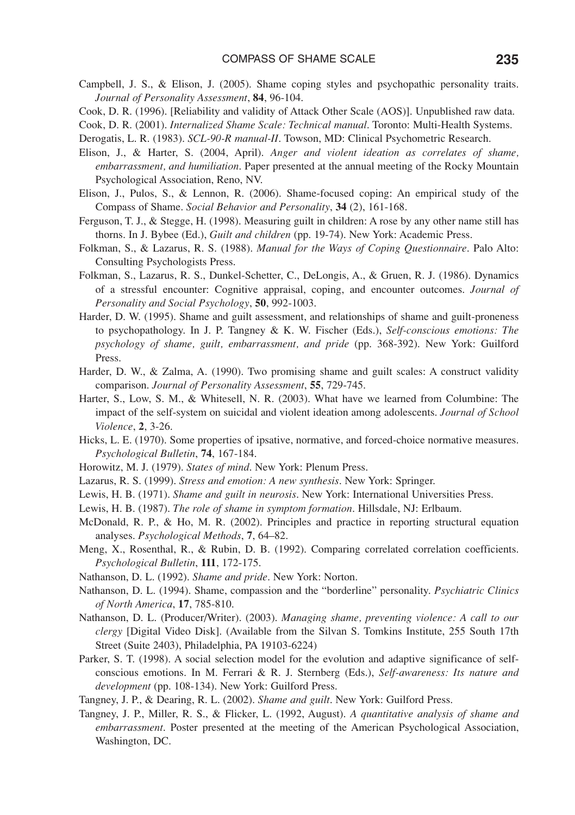- Campbell, J. S., & Elison, J. (2005). Shame coping styles and psychopathic personality traits. *Journal of Personality Assessment*, **84**, 96-104.
- Cook, D. R. (1996). [Reliability and validity of Attack Other Scale (AOS)]. Unpublished raw data.
- Cook, D. R. (2001). *Internalized Shame Scale: Technical manual*. Toronto: Multi-Health Systems.
- Derogatis, L. R. (1983). *SCL-90-R manual-II*. Towson, MD: Clinical Psychometric Research.
- Elison, J., & Harter, S. (2004, April). *Anger and violent ideation as correlates of shame, embarrassment, and humiliation*. Paper presented at the annual meeting of the Rocky Mountain Psychological Association, Reno, NV.
- Elison, J., Pulos, S., & Lennon, R. (2006). Shame-focused coping: An empirical study of the Compass of Shame. *Social Behavior and Personality*, **34** (2), 161-168.
- Ferguson, T. J., & Stegge, H. (1998). Measuring guilt in children: A rose by any other name still has thorns. In J. Bybee (Ed.), *Guilt and children* (pp. 19-74). New York: Academic Press.
- Folkman, S., & Lazarus, R. S. (1988). *Manual for the Ways of Coping Questionnaire*. Palo Alto: Consulting Psychologists Press.
- Folkman, S., Lazarus, R. S., Dunkel-Schetter, C., DeLongis, A., & Gruen, R. J. (1986). Dynamics of a stressful encounter: Cognitive appraisal, coping, and encounter outcomes. *Journal of Personality and Social Psychology*, **50**, 992-1003.
- Harder, D. W. (1995). Shame and guilt assessment, and relationships of shame and guilt-proneness to psychopathology. In J. P. Tangney & K. W. Fischer (Eds.), *Self-conscious emotions: The psychology of shame, guilt, embarrassment, and pride* (pp. 368-392). New York: Guilford Press.
- Harder, D. W., & Zalma, A. (1990). Two promising shame and guilt scales: A construct validity comparison. *Journal of Personality Assessment*, **55**, 729-745.
- Harter, S., Low, S. M., & Whitesell, N. R. (2003). What have we learned from Columbine: The impact of the self-system on suicidal and violent ideation among adolescents. *Journal of School Violence*, **2**, 3-26.
- Hicks, L. E. (1970). Some properties of ipsative, normative, and forced-choice normative measures. *Psychological Bulletin*, **74**, 167-184.
- Horowitz, M. J. (1979). *States of mind*. New York: Plenum Press.
- Lazarus, R. S. (1999). *Stress and emotion: A new synthesis*. New York: Springer.
- Lewis, H. B. (1971). *Shame and guilt in neurosis*. New York: International Universities Press.
- Lewis, H. B. (1987). *The role of shame in symptom formation*. Hillsdale, NJ: Erlbaum.
- McDonald, R. P., & Ho, M. R. (2002). Principles and practice in reporting structural equation analyses. *Psychological Methods*, **7**, 64–82.
- Meng, X., Rosenthal, R., & Rubin, D. B. (1992). Comparing correlated correlation coefficients. *Psychological Bulletin*, **111**, 172-175.
- Nathanson, D. L. (1992). *Shame and pride*. New York: Norton.
- Nathanson, D. L. (1994). Shame, compassion and the "borderline" personality. *Psychiatric Clinics of North America*, **17**, 785-810.
- Nathanson, D. L. (Producer/Writer). (2003). *Managing shame, preventing violence: A call to our clergy* [Digital Video Disk]. (Available from the Silvan S. Tomkins Institute, 255 South 17th Street (Suite 2403), Philadelphia, PA 19103-6224)
- Parker, S. T. (1998). A social selection model for the evolution and adaptive significance of selfconscious emotions. In M. Ferrari & R. J. Sternberg (Eds.), *Self-awareness: Its nature and development* (pp. 108-134). New York: Guilford Press.
- Tangney, J. P., & Dearing, R. L. (2002). *Shame and guilt*. New York: Guilford Press.
- Tangney, J. P., Miller, R. S., & Flicker, L. (1992, August). *A quantitative analysis of shame and embarrassment*. Poster presented at the meeting of the American Psychological Association, Washington, DC.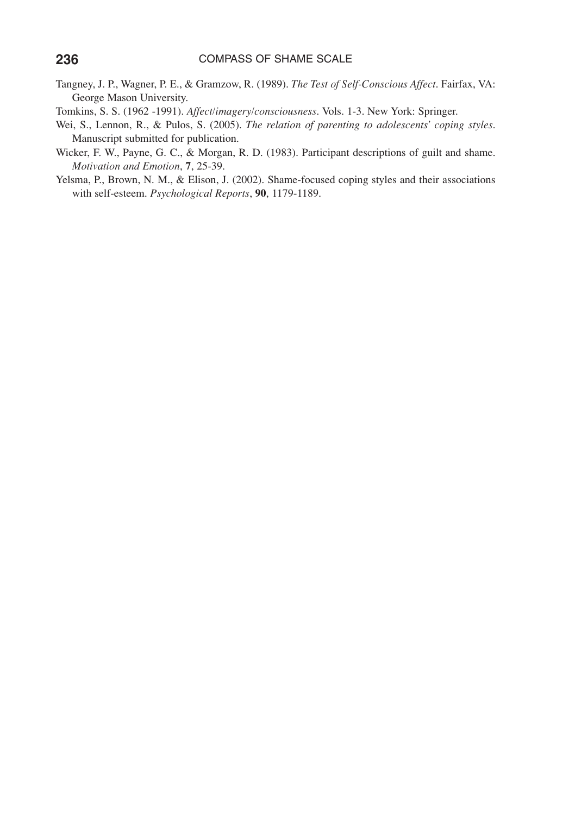Tangney, J. P., Wagner, P. E., & Gramzow, R. (1989). *The Test of Self-Conscious Affect*. Fairfax, VA: George Mason University.

Tomkins, S. S. (1962 -1991). *Affect/imagery/consciousness*. Vols. 1-3. New York: Springer.

- Wei, S., Lennon, R., & Pulos, S. (2005). *The relation of parenting to adolescents' coping styles*. Manuscript submitted for publication.
- Wicker, F. W., Payne, G. C., & Morgan, R. D. (1983). Participant descriptions of guilt and shame. *Motivation and Emotion*, **7**, 25-39.
- Yelsma, P., Brown, N. M., & Elison, J. (2002). Shame-focused coping styles and their associations with self-esteem. *Psychological Reports*, **90**, 1179-1189.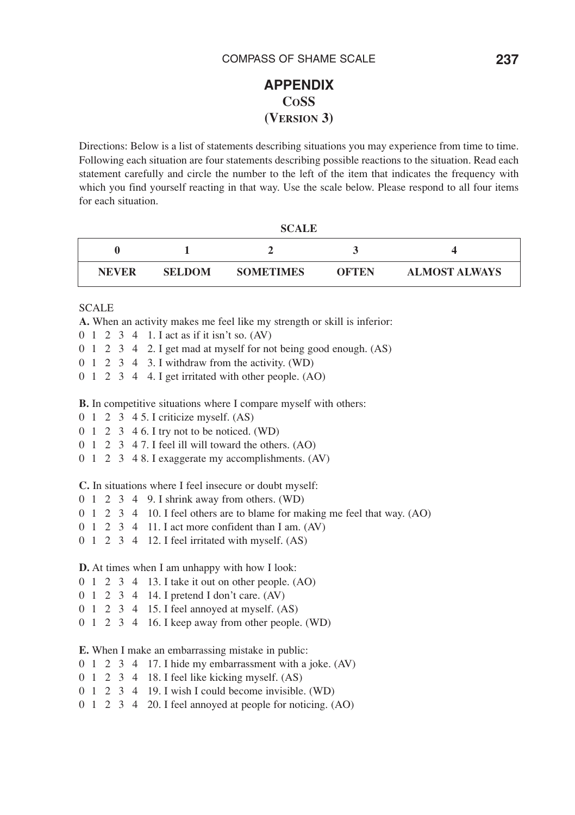#### COMPASS OF SHAME SCALE **237**

# **APPENDIX COSS (VERSION 3)**

Directions: Below is a list of statements describing situations you may experience from time to time. Following each situation are four statements describing possible reactions to the situation. Read each statement carefully and circle the number to the left of the item that indicates the frequency with which you find yourself reacting in that way. Use the scale below. Please respond to all four items for each situation.

**SCALE**

| <b>NEVER</b> | <b>SELDOM</b> | <b>SOMETIMES</b> | <b>OFTEN</b> | <b>ALMOST ALWAYS</b> |
|--------------|---------------|------------------|--------------|----------------------|

#### **SCALE**

**A.** When an activity makes me feel like my strength or skill is inferior:

- 0 1 2 3 4 1. I act as if it isn't so. (AV)
- 0 1 2 3 4 2. I get mad at myself for not being good enough. (AS)
- 0 1 2 3 4 3. I withdraw from the activity. (WD)
- 0 1 2 3 4 4. I get irritated with other people. (AO)

**B.** In competitive situations where I compare myself with others:

- 0 1 2 3 4 5. I criticize myself. (AS)
- 0 1 2 3 4 6. I try not to be noticed. (WD)
- 0 1 2 3 4 7. I feel ill will toward the others. (AO)
- 0 1 2 3 4 8. I exaggerate my accomplishments. (AV)

**C.** In situations where I feel insecure or doubt myself:

- 0 1 2 3 4 9. I shrink away from others. (WD)
- 0 1 2 3 4 10. I feel others are to blame for making me feel that way. (AO)
- 0 1 2 3 4 11. I act more confident than I am. (AV)
- 0 1 2 3 4 12. I feel irritated with myself. (AS)

**D.** At times when I am unhappy with how I look:

- 0 1 2 3 4 13. I take it out on other people. (AO)
- 0 1 2 3 4 14. I pretend I don't care. (AV)
- 0 1 2 3 4 15. I feel annoyed at myself. (AS)
- 0 1 2 3 4 16. I keep away from other people. (WD)

**E.** When I make an embarrassing mistake in public:

- 0 1 2 3 4 17. I hide my embarrassment with a joke. (AV)
- 0 1 2 3 4 18. I feel like kicking myself. (AS)
- 0 1 2 3 4 19. I wish I could become invisible. (WD)
- 0 1 2 3 4 20. I feel annoyed at people for noticing. (AO)